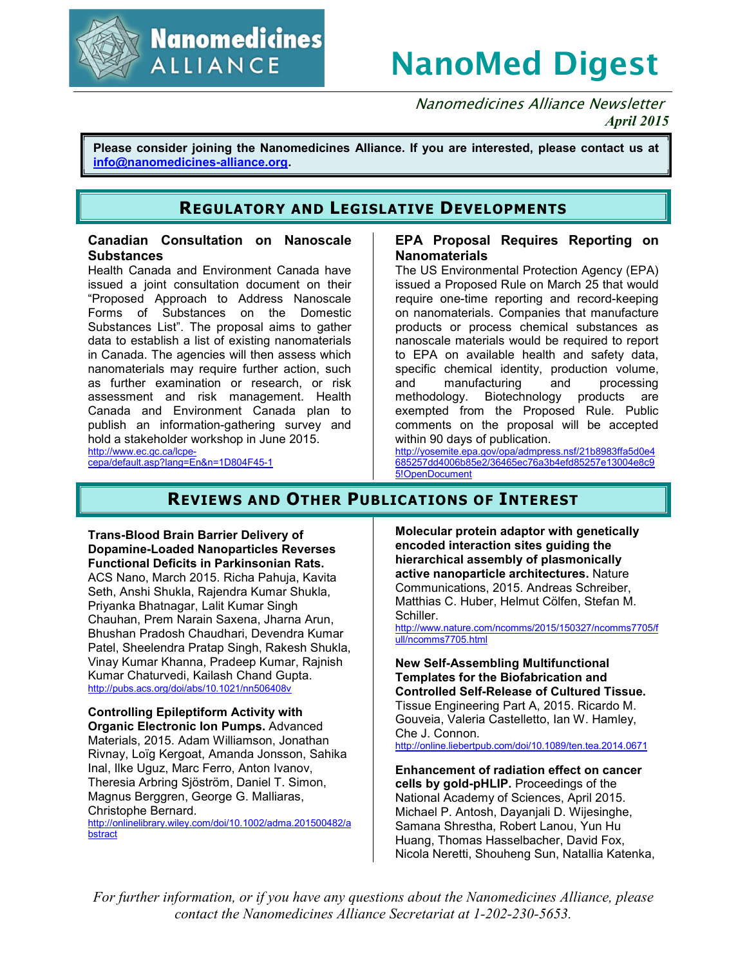

**Nanomedicines ALLIANCE** 

# **NanoMed Digest**

Nanomedicines Alliance Newsletter *April 2015*

**Please consider joining the Nanomedicines Alliance. If you are interested, please contact us at info@nanomedicines-alliance.org.**

# **REGULATORY AND LEGISLATIVE DEVELOPMENTS**

#### **Canadian Consultation on Nanoscale Substances**

Health Canada and Environment Canada have issued a joint consultation document on their "Proposed Approach to Address Nanoscale Forms of Substances on the Domestic Substances List". The proposal aims to gather data to establish a list of existing nanomaterials in Canada. The agencies will then assess which nanomaterials may require further action, such as further examination or research, or risk assessment and risk management. Health Canada and Environment Canada plan to publish an information-gathering survey and hold a stakeholder workshop in June 2015. http://www.ec.gc.ca/lcpe-

cepa/default.asp?lang=En&n=1D804F45-1

### **EPA Proposal Requires Reporting on Nanomaterials**

The US Environmental Protection Agency (EPA) issued a Proposed Rule on March 25 that would require one-time reporting and record-keeping on nanomaterials. Companies that manufacture products or process chemical substances as nanoscale materials would be required to report to EPA on available health and safety data, specific chemical identity, production volume, and manufacturing and processing methodology. Biotechnology products are exempted from the Proposed Rule. Public comments on the proposal will be accepted within 90 days of publication.

http://yosemite.epa.gov/opa/admpress.nsf/21b8983ffa5d0e4 685257dd4006b85e2/36465ec76a3b4efd85257e13004e8c9 5!OpenDocument

# **REVIEWS AND OTHER PUBLICATIONS OF INTEREST**

**Trans-Blood Brain Barrier Delivery of Dopamine-Loaded Nanoparticles Reverses Functional Deficits in Parkinsonian Rats.** ACS Nano, March 2015. Richa Pahuja, Kavita Seth, Anshi Shukla, Rajendra Kumar Shukla, Priyanka Bhatnagar, Lalit Kumar Singh Chauhan, Prem Narain Saxena, Jharna Arun, Bhushan Pradosh Chaudhari, Devendra Kumar

Patel, Sheelendra Pratap Singh, Rakesh Shukla, Vinay Kumar Khanna, Pradeep Kumar, Rajnish Kumar Chaturvedi, Kailash Chand Gupta. http://pubs.acs.org/doi/abs/10.1021/nn506408v

**Controlling Epileptiform Activity with Organic Electronic Ion Pumps.** Advanced Materials, 2015. Adam Williamson, Jonathan Rivnay, Loïg Kergoat, Amanda Jonsson, Sahika Inal, Ilke Uguz, Marc Ferro, Anton Ivanov, Theresia Arbring Sjöström, Daniel T. Simon, Magnus Berggren, George G. Malliaras, Christophe Bernard.

http://onlinelibrary.wiley.com/doi/10.1002/adma.201500482/a bstract

**Molecular protein adaptor with genetically encoded interaction sites guiding the hierarchical assembly of plasmonically active nanoparticle architectures.** Nature Communications, 2015. Andreas Schreiber, Matthias C. Huber, Helmut Cölfen, Stefan M. Schiller.

http://www.nature.com/ncomms/2015/150327/ncomms7705/f ull/ncomms7705.html

**New Self-Assembling Multifunctional Templates for the Biofabrication and Controlled Self-Release of Cultured Tissue.** Tissue Engineering Part A, 2015. Ricardo M.

Gouveia, Valeria Castelletto, Ian W. Hamley, Che J. Connon. http://online.liebertpub.com/doi/10.1089/ten.tea.2014.0671

**Enhancement of radiation effect on cancer cells by gold-pHLIP.** Proceedings of the National Academy of Sciences, April 2015. Michael P. Antosh, Dayanjali D. Wijesinghe, Samana Shrestha, Robert Lanou, Yun Hu Huang, Thomas Hasselbacher, David Fox, Nicola Neretti, Shouheng Sun, Natallia Katenka,

*For further information, or if you have any questions about the Nanomedicines Alliance, please contact the Nanomedicines Alliance Secretariat at 1-202-230-5653.*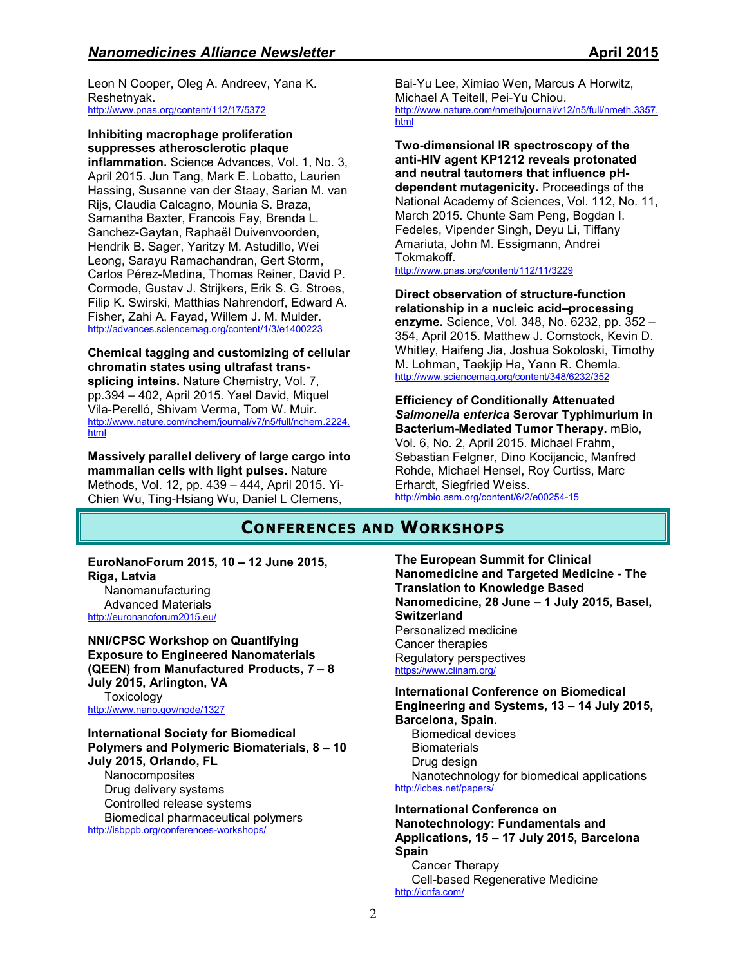Leon N Cooper, Oleg A. Andreev, Yana K. Reshetnyak. http://www.pnas.org/content/112/17/5372

## **Inhibiting macrophage proliferation suppresses atherosclerotic plaque**

**inflammation.** Science Advances, Vol. 1, No. 3, April 2015. Jun Tang, Mark E. Lobatto, Laurien Hassing, Susanne van der Staay, Sarian M. van Rijs, Claudia Calcagno, Mounia S. Braza, Samantha Baxter, Francois Fay, Brenda L. Sanchez-Gaytan, Raphaël Duivenvoorden, Hendrik B. Sager, Yaritzy M. Astudillo, Wei Leong, Sarayu Ramachandran, Gert Storm, Carlos Pérez-Medina, Thomas Reiner, David P. Cormode, Gustav J. Strijkers, Erik S. G. Stroes, Filip K. Swirski, Matthias Nahrendorf, Edward A. Fisher, Zahi A. Fayad, Willem J. M. Mulder. http://advances.sciencemag.org/content/1/3/e1400223

#### **Chemical tagging and customizing of cellular chromatin states using ultrafast transsplicing inteins.** Nature Chemistry, Vol. 7, pp.394 – 402, April 2015. Yael David, Miquel Vila-Perelló, Shivam Verma, Tom W. Muir. http://www.nature.com/nchem/journal/v7/n5/full/nchem.2224. html

**Massively parallel delivery of large cargo into mammalian cells with light pulses.** Nature Methods, Vol. 12, pp. 439 – 444, April 2015. Yi-Chien Wu, Ting-Hsiang Wu, Daniel L Clemens,

Bai-Yu Lee, Ximiao Wen, Marcus A Horwitz, Michael A Teitell, Pei-Yu Chiou. http://www.nature.com/nmeth/journal/v12/n5/full/nmeth.3357. html

**Two-dimensional IR spectroscopy of the anti-HIV agent KP1212 reveals protonated and neutral tautomers that influence pHdependent mutagenicity.** Proceedings of the National Academy of Sciences, Vol. 112, No. 11, March 2015. Chunte Sam Peng, Bogdan I. Fedeles, Vipender Singh, Deyu Li, Tiffany Amariuta, John M. Essigmann, Andrei Tokmakoff.

http://www.pnas.org/content/112/11/3229

#### **Direct observation of structure-function relationship in a nucleic acid–processing enzyme.** Science, Vol. 348, No. 6232, pp. 352 – 354, April 2015. Matthew J. Comstock, Kevin D. Whitley, Haifeng Jia, Joshua Sokoloski, Timothy M. Lohman, Taekjip Ha, Yann R. Chemla. http://www.sciencemag.org/content/348/6232/352

**Efficiency of Conditionally Attenuated**  *Salmonella enterica* **Serovar Typhimurium in Bacterium-Mediated Tumor Therapy.** mBio, Vol. 6, No. 2, April 2015. Michael Frahm, Sebastian Felgner, Dino Kocijancic, Manfred Rohde, Michael Hensel, Roy Curtiss, Marc Erhardt, Siegfried Weiss. http://mbio.asm.org/content/6/2/e00254-15

# **CONFERENCES AND WORKSHOPS**

#### **EuroNanoForum 2015, 10 – 12 June 2015, Riga, Latvia**  Nanomanufacturing

Advanced Materials http://euronanoforum2015.eu/

**NNI/CPSC Workshop on Quantifying Exposure to Engineered Nanomaterials (QEEN) from Manufactured Products, 7 – 8 July 2015, Arlington, VA Toxicology** http://www.nano.gov/node/1327

**International Society for Biomedical Polymers and Polymeric Biomaterials, 8 – 10 July 2015, Orlando, FL Nanocomposites** Drug delivery systems Controlled release systems Biomedical pharmaceutical polymers http://isbppb.org/conferences-workshops/

**The European Summit for Clinical Nanomedicine and Targeted Medicine - The Translation to Knowledge Based Nanomedicine, 28 June – 1 July 2015, Basel, Switzerland** Personalized medicine Cancer therapies Regulatory perspectives https://www.clinam.org/

#### **International Conference on Biomedical Engineering and Systems, 13 – 14 July 2015, Barcelona, Spain.**  Biomedical devices

**Biomaterials** Drug design Nanotechnology for biomedical applications http://icbes.net/papers/

#### **International Conference on Nanotechnology: Fundamentals and Applications, 15 – 17 July 2015, Barcelona Spain**  Cancer Therapy

Cell-based Regenerative Medicine http://icnfa.com/